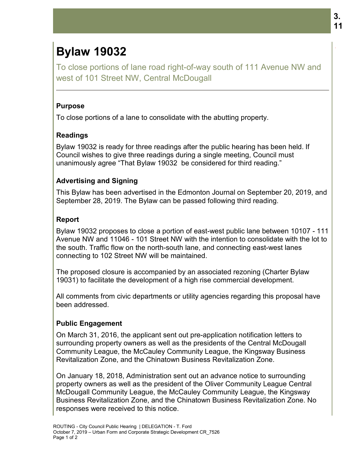# **Bylaw 19032**

To close portions of lane road right-of-way south of 111 west of 101 Street NW, Central McDougall

#### **Purpose**

To close portions of a lane to consolidate with the abutting property.

#### **Readings**

To close portions of a lane to consolidate with the abutting property.<br>**Readings**<br>Bylaw 19032 is ready for three readings after the public hearing has been held. If Council wishes to give three readings during a single meeting, Council must Council wishes to give three readings during a single meeting, Council n<br>unanimously agree "That Bylaw 19032 be considered for third reading."

## **Advertising and Signing and**

This Bylaw has been advertised in the Edmonton Journal on September 20, 2019, and September 28, 2019. The Bylaw can be passed following third reading.

## **Report**

September 28, 2019. The Bylaw can be passed following third reading.<br>**Report**<br>Bylaw 19032 proposes to close a portion of east-west public lane between 10107 - 111 Avenue NW and 11046 - 101 Street NW with the intention to consolidate with the lot to the south. Traffic flow on the north-south lane, and connecting east-west lanes connecting to 102 Street NW will be maintained. 11046 - 101 Street NW with the intention to consolidate with the lot<br>flow on the north-south lane, and connecting east-west lanes<br>2 Street NW will be maintained.<br>sure is accompanied by an associated rezoning (Charter Bylaw

The proposed closure is accompanied by an associated rezoning (Charter Bylaw 19031) to facilitate the development of a high rise commercial development. connecting to 102 Street NW will be maintained.<br>The proposed closure is accompanied by an associated rezoning (Charter Bylaw<br>19031) to facilitate the development of a high rise commercial development.

All comments from civic departments or utility agencies regarding this proposal have been addressed. All comments from civic departments or utility agencies regarding this propos<br>been addressed.<br>**Public Engagement**<br>On March 31, 2016, the applicant sent out pre-application notification letters

## **Public Engagement**

surrounding property owners as well as the presidents of the Central McDougall Community League, the McCauley Community League, the Kingsway Business Revitalization Zone, and the Chinatown Business Revitalization Zone.

On January 18, 2018, Administration sent out an advance notice to surrounding property owners as well as the president of the Oliver Community League Central Community League, the McCauley Community League, the Kingsway Business<br>Revitalization Zone, and the Chinatown Business Revitalization Zone.<br>On January 18, 2018, Administration sent out an advance notice to surrounding<br>prop Business Revitalization Zone, and the Chinatown Business Revitalization Zone. No responses were received to this notice. Iane road right-of-way south of 111 Avenue NW and<br>W, Central McDougall<br>W, Central McDougall<br>ne to consolidate with the abutting property.<br>There readings direct the public hearing has been held. If<br>there readings during a s .